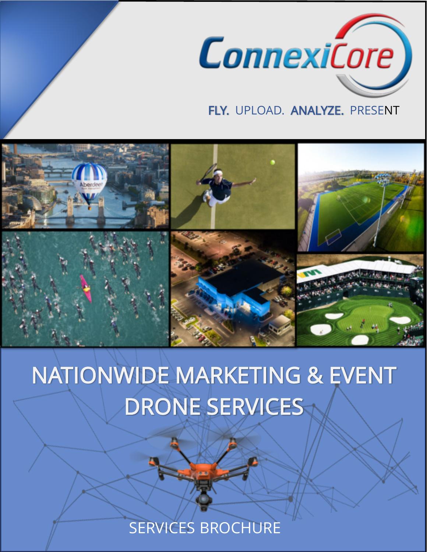

## FLY. UPLOAD. ANALYZE. PRESENT



# NATIONWIDE MARKETING & EVENT DRONE SERVICES

SERVICES BROCHURE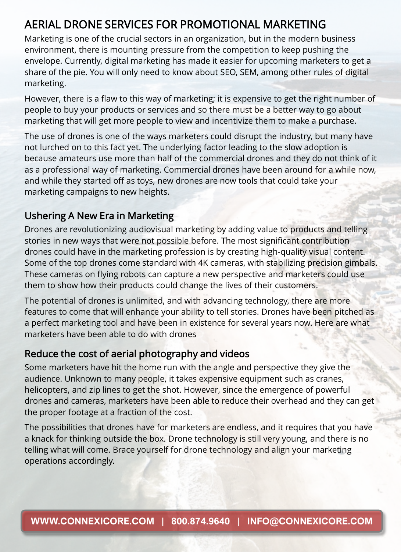### AERIAL DRONE SERVICES FOR PROMOTIONAL MARKETING

Marketing is one of the crucial sectors in an organization, but in the modern business environment, there is mounting pressure from the competition to keep pushing the envelope. Currently, digital marketing has made it easier for upcoming marketers to get a share of the pie. You will only need to know about SEO, SEM, among other rules of digital marketing.

However, there is a flaw to this way of marketing; it is expensive to get the right number of people to buy your products or services and so there must be a better way to go about marketing that will get more people to view and incentivize them to make a purchase.

The use of drones is one of the ways marketers could disrupt the industry, but many have not lurched on to this fact yet. The underlying factor leading to the slow adoption is because amateurs use more than half of the commercial drones and they do not think of it as a professional way of marketing. Commercial drones have been around for a while now, and while they started off as toys, new drones are now tools that could take your marketing campaigns to new heights.

#### Ushering A New Era in Marketing

Drones are revolutionizing audiovisual marketing by adding value to products and telling stories in new ways that were not possible before. The most significant contribution drones could have in the marketing profession is by creating high-quality visual content. Some of the top drones come standard with 4K cameras, with stabilizing precision gimbals. These cameras on flying robots can capture a new perspective and marketers could use them to show how their products could change the lives of their customers.

The potential of drones is unlimited, and with advancing technology, there are more features to come that will enhance your ability to tell stories. Drones have been pitched as a perfect marketing tool and have been in existence for several years now. Here are what marketers have been able to do with drones

#### Reduce the cost of aerial photography and videos

Some marketers have hit the home run with the angle and perspective they give the audience. Unknown to many people, it takes expensive equipment such as cranes, helicopters, and zip lines to get the shot. However, since the emergence of powerful drones and cameras, marketers have been able to reduce their overhead and they can get the proper footage at a fraction of the cost.

The possibilities that drones have for marketers are endless, and it requires that you have a knack for thinking outside the box. Drone technology is still very young, and there is no telling what will come. Brace yourself for drone technology and align your marketing operations accordingly.